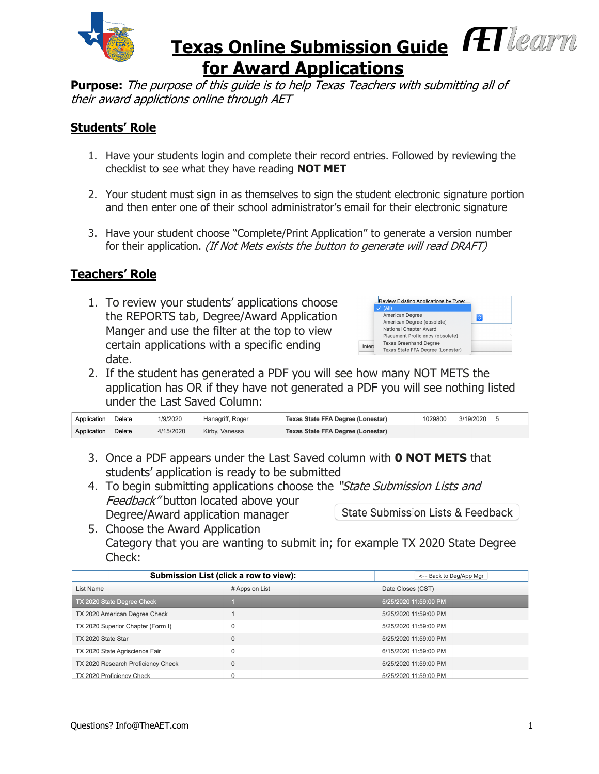

# **Texas Online Submission Guide FET learn for Award Applications**

**Purpose:** The purpose of this guide is to help Texas Teachers with submitting all of their award applictions online through AET

### **Students' Role**

- 1. Have your students login and complete their record entries. Followed by reviewing the checklist to see what they have reading **NOT MET**
- 2. Your student must sign in as themselves to sign the student electronic signature portion and then enter one of their school administrator's email for their electronic signature
- 3. Have your student choose "Complete/Print Application" to generate a version number for their application. (If Not Mets exists the button to generate will read DRAFT)

### **Teachers' Role**

1. To review your students' applications choose the REPORTS tab, Degree/Award Application Manger and use the filter at the top to view certain applications with a specific ending date.



2. If the student has generated a PDF you will see how many NOT METS the application has OR if they have not generated a PDF you will see nothing listed under the Last Saved Column:

| <b>Application</b> Delete | 1/9/2020  | Hanagriff, Roger | Texas State FFA Degree (Lonestar) | 1029800 | 3/19/2020 5 |  |
|---------------------------|-----------|------------------|-----------------------------------|---------|-------------|--|
| <b>Application</b> Delete | 4/15/2020 | Kirby, Vanessa   | Texas State FFA Degree (Lonestar) |         |             |  |

- 3. Once a PDF appears under the Last Saved column with **0 NOT METS** that students' application is ready to be submitted
- 4. To begin submitting applications choose the "State Submission Lists and Feedback" button located above your State Submission Lists & Feedback Degree/Award application manager
- 5. Choose the Award Application Category that you are wanting to submit in; for example TX 2020 State Degree Check:

| Submission List (click a row to view): | <-- Back to Deg/App Mgr |                       |
|----------------------------------------|-------------------------|-----------------------|
| List Name                              | # Apps on List          | Date Closes (CST)     |
| TX 2020 State Degree Check             |                         | 5/25/2020 11:59:00 PM |
| TX 2020 American Degree Check          |                         | 5/25/2020 11:59:00 PM |
| TX 2020 Superior Chapter (Form I)      | 0                       | 5/25/2020 11:59:00 PM |
| TX 2020 State Star                     | $\mathbf 0$             | 5/25/2020 11:59:00 PM |
| TX 2020 State Agriscience Fair         | $\mathbf 0$             | 6/15/2020 11:59:00 PM |
| TX 2020 Research Proficiency Check     | $\mathbf{0}$            | 5/25/2020 11:59:00 PM |
| TX 2020 Proficiency Check              | $\Omega$                | 5/25/2020 11:59:00 PM |